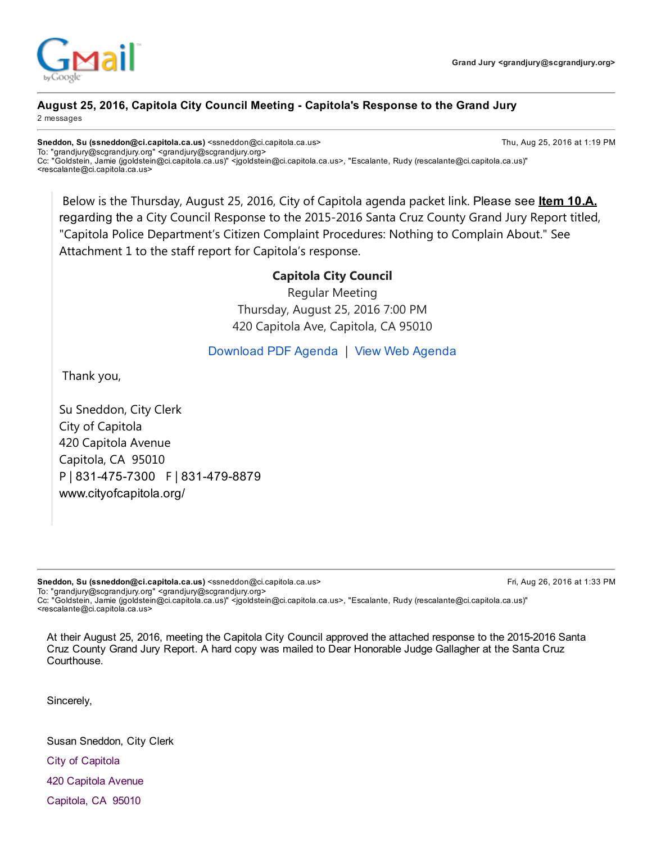

## August 25, 2016, Capitola City Council Meeting Capitola's Response to the Grand Jury

2 messages

Sneddon, Su (ssneddon@ci.capitola.ca.us) <ssneddon@ci.capitola.ca.us> Thu, Aug 25, 2016 at 1:19 PM To: "grandjury@scgrandjury.org" <grandjury@scgrandjury.org> Cc: "Goldstein, Jamie (jgoldstein@ci.capitola.ca.us)" <jgoldstein@ci.capitola.ca.us>, "Escalante, Rudy (rescalante@ci.capitola.ca.us)" <rescalante@ci.capitola.ca.us>

Below is the Thursday, August 25, 2016, City of Capitola agenda packet link. Please see ltem 10.A. regarding the a City Council Response to the 2015‐2016 Santa Cruz County Grand Jury Report titled, "Capitola Police Department's Citizen Complaint Procedures: Nothing to Complain About." See Attachment 1 to the staff report for Capitola's response.

#### Capitola City Council

Regular Meeting Thursday, August 25, 2016 7:00 PM 420 Capitola Ave, Capitola, CA 95010

#### [Download](https://capitolaca.iqm2.com/Citizens/FileOpen.aspx?Type=14&ID=1854) PDF Agenda | View Web [Agenda](https://capitolaca.iqm2.com/Citizens/detail_meeting.aspx?ID=1040)

Thank you,

Su Sneddon, City Clerk City of Capitola 420 Capitola Avenue Capitola, CA 95010 P | 831-475-7300 F | 831-479-8879 [www.cityofcapitola.org/](http://www.cityofcapitola.org/)

Sneddon, Su (ssneddon@ci.capitola.ca.us) <ssneddon@ci.capitola.ca.us> Fri, Aug 26, 2016 at 1:33 PM To: "grandjury@scgrandjury.org" <grandjury@scgrandjury.org>

Cc: "Goldstein, Jamie (jgoldstein@ci.capitola.ca.us)" <jgoldstein@ci.capitola.ca.us>, "Escalante, Rudy (rescalante@ci.capitola.ca.us)" <rescalante@ci.capitola.ca.us>

At their August 25, 2016, meeting the Capitola City Council approved the attached response to the 20152016 Santa Cruz County Grand Jury Report. A hard copy was mailed to Dear Honorable Judge Gallagher at the Santa Cruz Courthouse.

Sincerely,

Susan Sneddon, City Clerk City of Capitola

420 Capitola Avenue

Capitola, CA 95010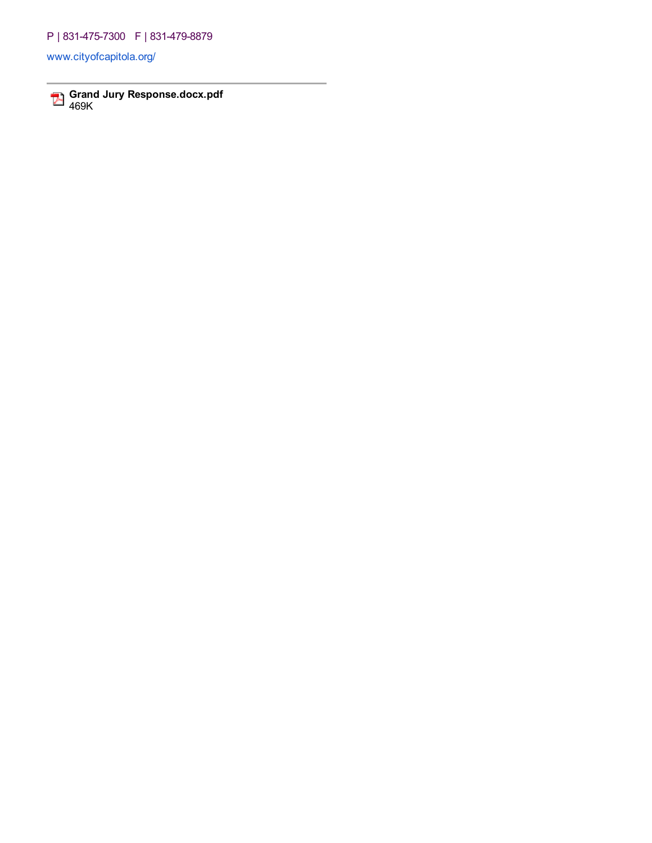### P | 831-475-7300 F | 831-479-8879

[www.cityofcapitola.org/](http://www.cityofcapitola.org/)

Grand Jury Response.docx.pdf 469K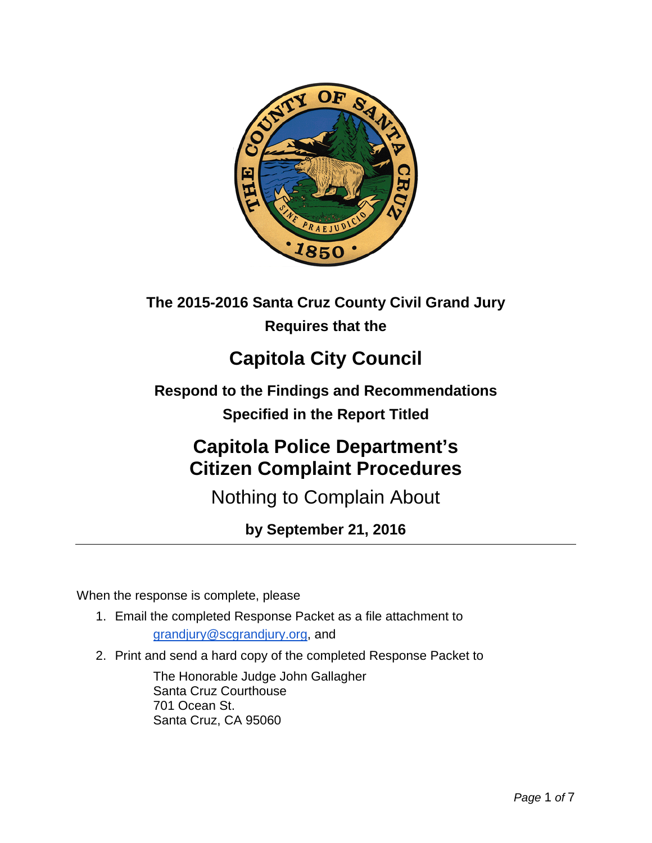

# **The 2015-2016 Santa Cruz County Civil Grand Jury Requires that the**

# **Capitola City Council**

**Respond to the Findings and Recommendations Specified in the Report Titled**

# **Capitola Police Department's Citizen Complaint Procedures**

Nothing to Complain About

**by September 21, 2016**

When the response is complete, please

- 1. Email the completed Response Packet as a file attachment to grandjury@scgrandjury.org, and
- 2. Print and send a hard copy of the completed Response Packet to

The Honorable Judge John Gallagher Santa Cruz Courthouse 701 Ocean St. Santa Cruz, CA 95060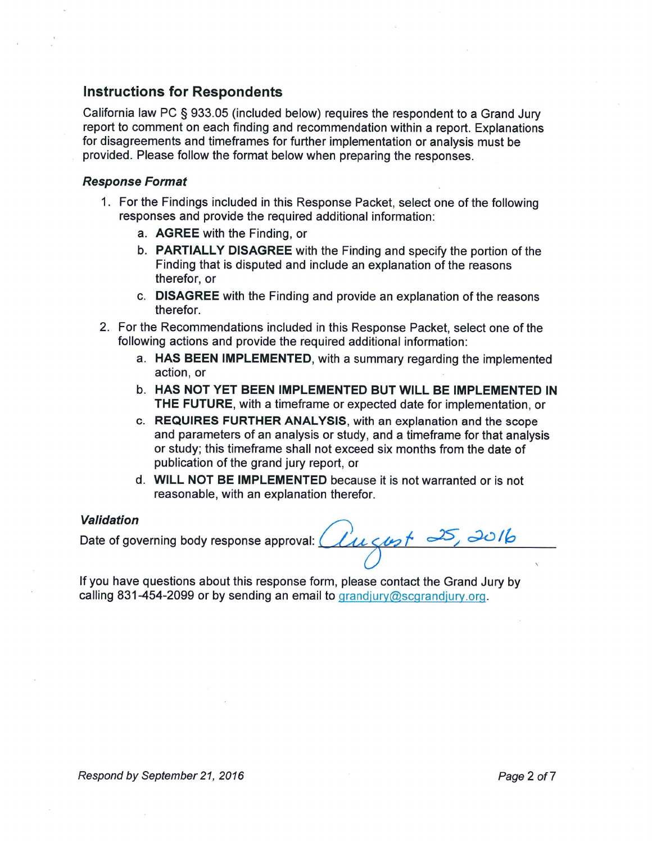#### Instructions for Respondents

California law PC § 933.05 (included below) requires the respondent to a Grand Jury report to comment on each finding and recommendation within a report. Explanations for disagreements and timeframes for further implementation or analysis must be provided. Please follow the format below when preparing the responses.

#### Response Format

- 1. For the Findings included in this Response Packet, select one of the following responses and provide the required additional information:
	- a. AGREE with the Finding, or
	- b. PARTIALLY DISAGREE with the Finding and specify the portion of the Finding that is disputed and include an explanation of the reasons therefor, or
	- c. DISAGREE with the Finding and provide an explanation of the reasons therefor.
- 2. For the Recommendations included in this Response Packet, select one of the following actions and provide the required additional information:
	- a. HAS BEEN IMPLEMENTED, with a summary regarding the implemente action, or
	- b. HAS NOT YET BEEN IMPLEMENTED BUT WILL BE IMPLEMENTED IN THE FUTURE, with a timeframe or expected date for implementation, or
	- c. REQUIRES FURTHER ANALYSIS, with an explanation and the scope and parameters of an analysis or study, and a timeframe for that analysis or study; this timeframe shall not exceed six months from the date of publication of the grand jury report, or
	- d. WILL NOT BE IMPLEMENTED because it is not warranted or is not reasonable, with an explanation therefor.

#### Validation

validation<br>Date of governing body response approval:  $\hat{\mathcal{U}}$ u  $\zeta$ u $\rightarrow$ f  $\rightarrow$ 5,  $\rightarrow$ 0/6  $\bigwedge$ 

If you have questions about this response form, please contact the Grand Jury by calling 831-454-2099 or by sending an email to grandjury@scgrandjury.org.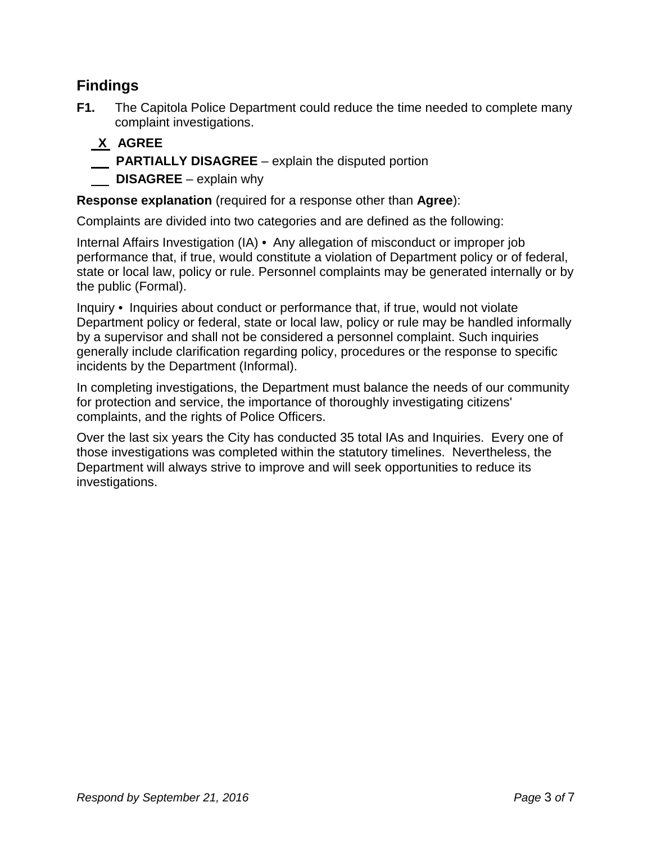# **Findings**

**F1.** The Capitola Police Department could reduce the time needed to complete many complaint investigations.

# **X AGREE**

- **PARTIALLY DISAGREE**  explain the disputed portion
- **DISAGREE** explain why

**Response explanation** (required for a response other than **Agree**):

Complaints are divided into two categories and are defined as the following:

Internal Affairs Investigation (IA) • Any allegation of misconduct or improper job performance that, if true, would constitute a violation of Department policy or of federal, state or local law, policy or rule. Personnel complaints may be generated internally or by the public (Formal).

Inquiry • Inquiries about conduct or performance that, if true, would not violate Department policy or federal, state or local law, policy or rule may be handled informally by a supervisor and shall not be considered a personnel complaint. Such inquiries generally include clarification regarding policy, procedures or the response to specific incidents by the Department (Informal).

In completing investigations, the Department must balance the needs of our community for protection and service, the importance of thoroughly investigating citizens' complaints, and the rights of Police Officers.

Over the last six years the City has conducted 35 total IAs and Inquiries. Every one of those investigations was completed within the statutory timelines. Nevertheless, the Department will always strive to improve and will seek opportunities to reduce its investigations.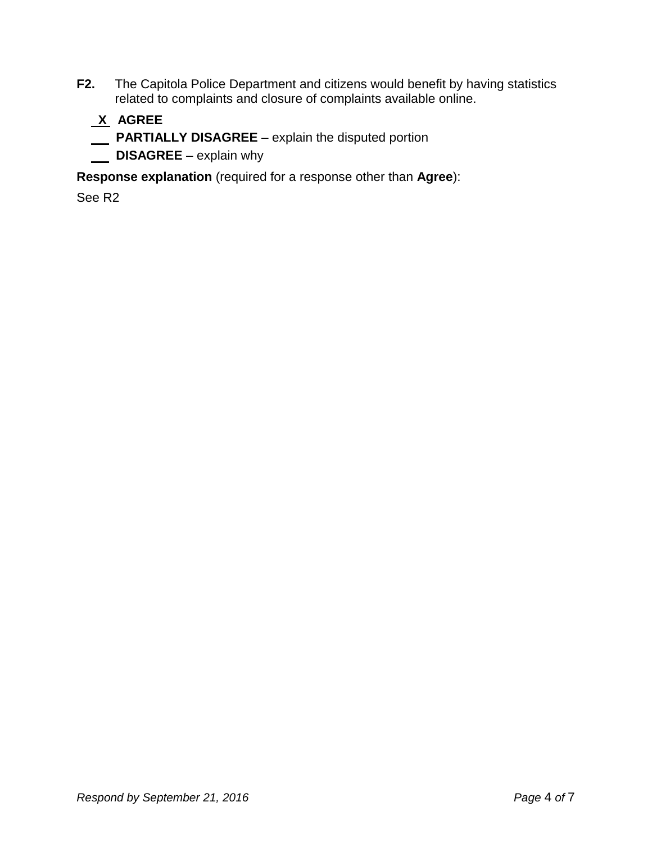**F2.** The Capitola Police Department and citizens would benefit by having statistics related to complaints and closure of complaints available online.

# **X AGREE**

- **PARTIALLY DISAGREE**  explain the disputed portion
- **DISAGREE** explain why

**Response explanation** (required for a response other than **Agree**):

See R2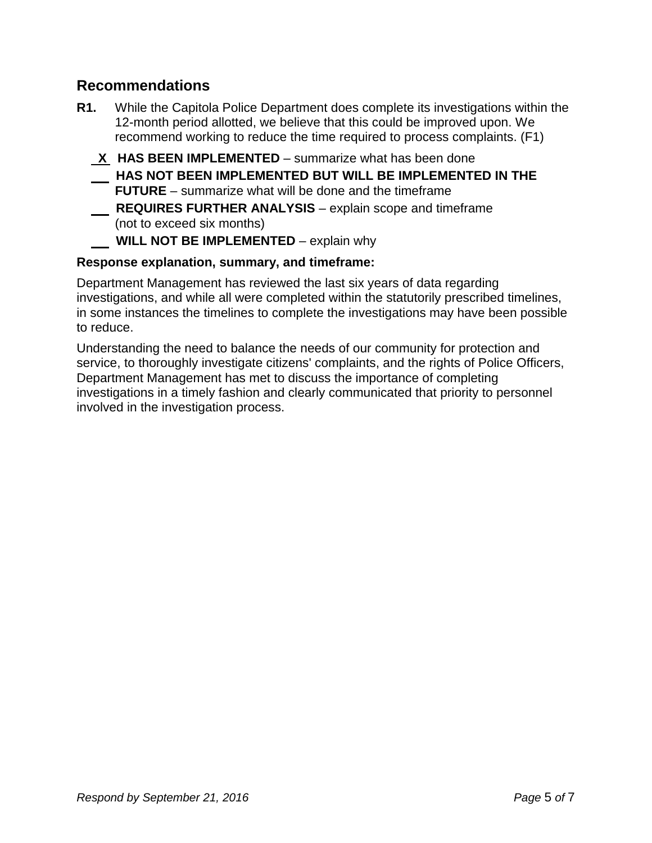## **Recommendations**

- **R1.** While the Capitola Police Department does complete its investigations within the 12-month period allotted, we believe that this could be improved upon. We recommend working to reduce the time required to process complaints. (F1)
	- **X HAS BEEN IMPLEMENTED**  summarize what has been done **HAS NOT BEEN IMPLEMENTED BUT WILL BE IMPLEMENTED IN THE FUTURE** – summarize what will be done and the timeframe **REQUIRES FURTHER ANALYSIS** – explain scope and timeframe (not to exceed six months)

### **WILL NOT BE IMPLEMENTED** – explain why

### **Response explanation, summary, and timeframe:**

Department Management has reviewed the last six years of data regarding investigations, and while all were completed within the statutorily prescribed timelines, in some instances the timelines to complete the investigations may have been possible to reduce.

Understanding the need to balance the needs of our community for protection and service, to thoroughly investigate citizens' complaints, and the rights of Police Officers, Department Management has met to discuss the importance of completing investigations in a timely fashion and clearly communicated that priority to personnel involved in the investigation process.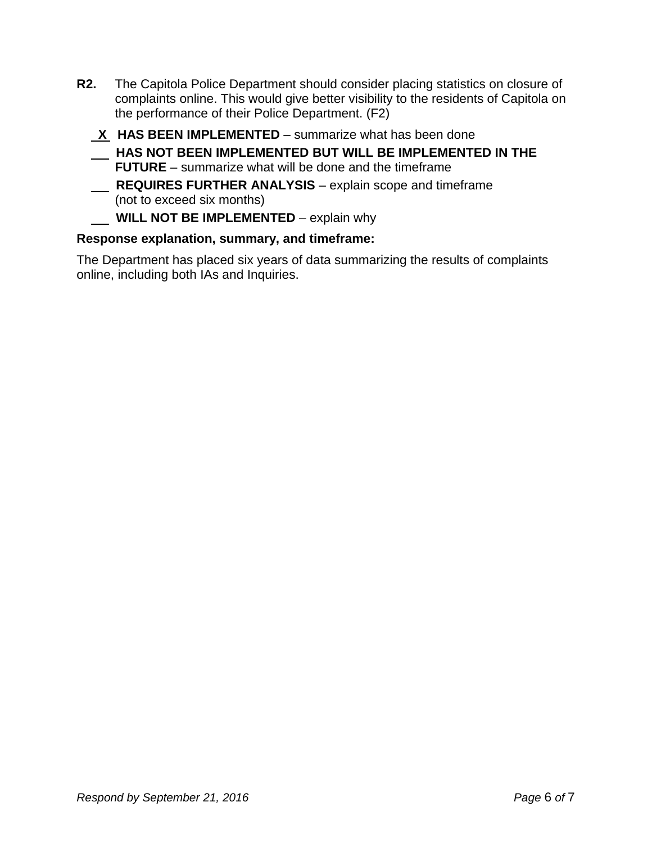- **R2.** The Capitola Police Department should consider placing statistics on closure of complaints online. This would give better visibility to the residents of Capitola on the performance of their Police Department. (F2)
	- **X HAS BEEN IMPLEMENTED**  summarize what has been done **HAS NOT BEEN IMPLEMENTED BUT WILL BE IMPLEMENTED IN THE FUTURE** – summarize what will be done and the timeframe **REQUIRES FURTHER ANALYSIS** – explain scope and timeframe (not to exceed six months)

### **WILL NOT BE IMPLEMENTED** – explain why

#### **Response explanation, summary, and timeframe:**

The Department has placed six years of data summarizing the results of complaints online, including both IAs and Inquiries.